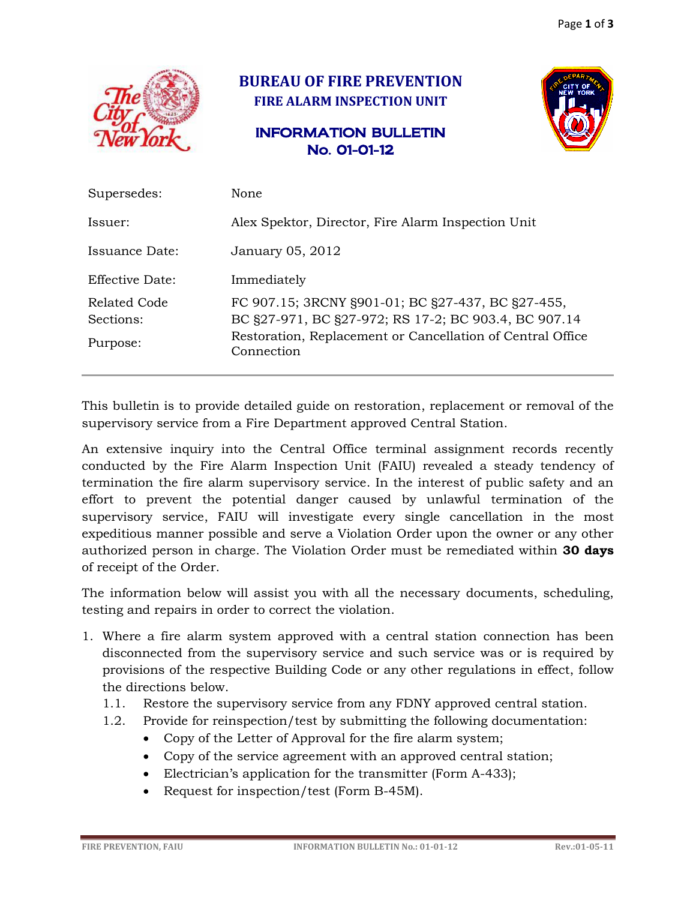

## **BUREAU OF FIRE PREVENTION FIRE ALARM INSPECTION UNIT**

## INFORMATION BULLETIN No. 01-01-12



| Supersedes:                           | None                                                                                                                                                                                  |
|---------------------------------------|---------------------------------------------------------------------------------------------------------------------------------------------------------------------------------------|
| Issuer:                               | Alex Spektor, Director, Fire Alarm Inspection Unit                                                                                                                                    |
| Issuance Date:                        | January 05, 2012                                                                                                                                                                      |
| Effective Date:                       | Immediately                                                                                                                                                                           |
| Related Code<br>Sections:<br>Purpose: | FC 907.15; 3RCNY §901-01; BC §27-437, BC §27-455,<br>BC §27-971, BC §27-972; RS 17-2; BC 903.4, BC 907.14<br>Restoration, Replacement or Cancellation of Central Office<br>Connection |

This bulletin is to provide detailed guide on restoration, replacement or removal of the supervisory service from a Fire Department approved Central Station.

An extensive inquiry into the Central Office terminal assignment records recently conducted by the Fire Alarm Inspection Unit (FAIU) revealed a steady tendency of termination the fire alarm supervisory service. In the interest of public safety and an effort to prevent the potential danger caused by unlawful termination of the supervisory service, FAIU will investigate every single cancellation in the most expeditious manner possible and serve a Violation Order upon the owner or any other authorized person in charge. The Violation Order must be remediated within **30 days**  of receipt of the Order.

The information below will assist you with all the necessary documents, scheduling, testing and repairs in order to correct the violation.

- 1. Where a fire alarm system approved with a central station connection has been disconnected from the supervisory service and such service was or is required by provisions of the respective Building Code or any other regulations in effect, follow the directions below.
	- 1.1. Restore the supervisory service from any FDNY approved central station.
	- 1.2. Provide for reinspection/test by submitting the following documentation:
		- Copy of the Letter of Approval for the fire alarm system;
		- Copy of the service agreement with an approved central station;
		- Electrician's application for the transmitter (Form A-433);
		- Request for inspection/test (Form B-45M).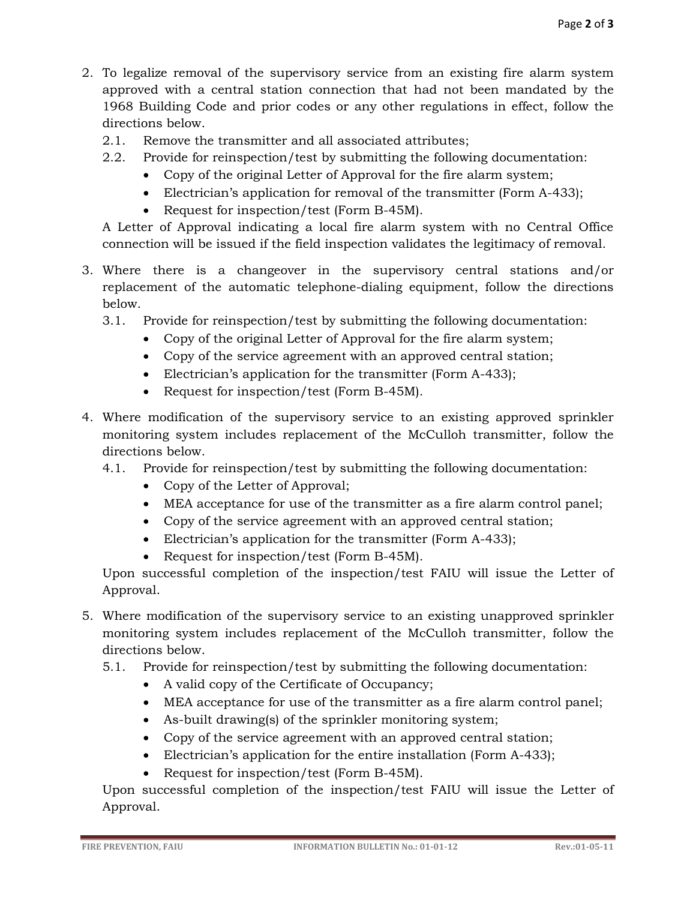- 2. To legalize removal of the supervisory service from an existing fire alarm system approved with a central station connection that had not been mandated by the 1968 Building Code and prior codes or any other regulations in effect, follow the directions below.
	- 2.1. Remove the transmitter and all associated attributes;
	- 2.2. Provide for reinspection/test by submitting the following documentation:
		- Copy of the original Letter of Approval for the fire alarm system;
		- Electrician's application for removal of the transmitter (Form A-433);
		- Request for inspection/test (Form B-45M).

A Letter of Approval indicating a local fire alarm system with no Central Office connection will be issued if the field inspection validates the legitimacy of removal.

- 3. Where there is a changeover in the supervisory central stations and/or replacement of the automatic telephone-dialing equipment, follow the directions below.
	- 3.1. Provide for reinspection/test by submitting the following documentation:
		- Copy of the original Letter of Approval for the fire alarm system;
		- Copy of the service agreement with an approved central station;
		- Electrician's application for the transmitter (Form A-433);
		- Request for inspection/test (Form B-45M).
- 4. Where modification of the supervisory service to an existing approved sprinkler monitoring system includes replacement of the McCulloh transmitter, follow the directions below.
	- 4.1. Provide for reinspection/test by submitting the following documentation:
		- Copy of the Letter of Approval;
		- MEA acceptance for use of the transmitter as a fire alarm control panel;
		- Copy of the service agreement with an approved central station;
		- Electrician's application for the transmitter (Form A-433);
		- Request for inspection/test (Form B-45M).

Upon successful completion of the inspection/test FAIU will issue the Letter of Approval.

- 5. Where modification of the supervisory service to an existing unapproved sprinkler monitoring system includes replacement of the McCulloh transmitter, follow the directions below.
	- 5.1. Provide for reinspection/test by submitting the following documentation:
		- A valid copy of the Certificate of Occupancy;
		- MEA acceptance for use of the transmitter as a fire alarm control panel;
		- As-built drawing(s) of the sprinkler monitoring system;
		- Copy of the service agreement with an approved central station;
		- Electrician's application for the entire installation (Form A-433);
		- Request for inspection/test (Form B-45M).

Upon successful completion of the inspection/test FAIU will issue the Letter of Approval.